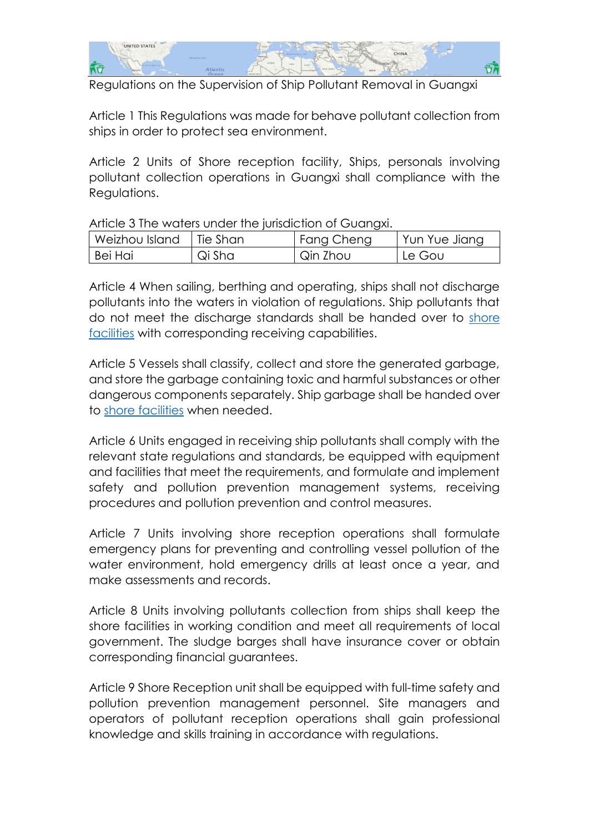

Regulations on the Supervision of Ship Pollutant Removal in Guangxi

Article 1 This Regulations was made for behave pollutant collection from ships in order to protect sea environment.

Article 2 Units of Shore reception facility, Ships, personals involving pollutant collection operations in Guangxi shall compliance with the Regulations.

| Weizhou Island   Tie Shan |        | Fang Cheng | Yun Yue Jiang |
|---------------------------|--------|------------|---------------|
| Bei Hai                   | Qi Sha | Qin Zhou   | Le Gou        |

Article 3 The waters under the jurisdiction of Guangxi.

Article 4 When sailing, berthing and operating, ships shall not discharge pollutants into the waters in violation of regulations. Ship pollutants that do not meet the discharge standards shall be handed over to [shore](http://www.shorefacility.com/sludge.pdf) [facilities](http://www.shorefacility.com/sludge.pdf) with corresponding receiving capabilities.

Article 5 Vessels shall classify, collect and store the generated garbage, and store the garbage containing toxic and harmful substances or other dangerous components separately. Ship garbage shall be handed over to shore [facilities](http://www.shorefacility.com/garbage.pdf) when needed.

Article 6 Units engaged in receiving ship pollutants shall comply with the relevant state regulations and standards, be equipped with equipment and facilities that meet the requirements, and formulate and implement safety and pollution prevention management systems, receiving procedures and pollution prevention and control measures.

Article 7 Units involving shore reception operations shall formulate emergency plans for preventing and controlling vessel pollution of the water environment, hold emergency drills at least once a year, and make assessments and records.

Article 8 Units involving pollutants collection from ships shall keep the shore facilities in working condition and meet all requirements of local government. The sludge barges shall have insurance cover or obtain corresponding financial guarantees.

Article 9 Shore Reception unit shall be equipped with full-time safety and pollution prevention management personnel. Site managers and operators of pollutant reception operations shall gain professional knowledge and skills training in accordance with regulations.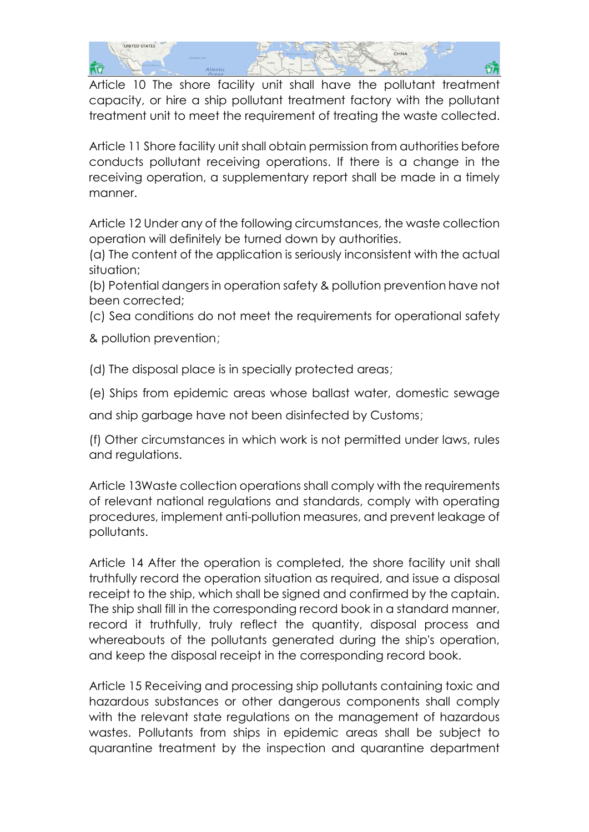

Article 10 The shore facility unit shall have the pollutant treatment capacity, or hire a ship pollutant treatment factory with the pollutant treatment unit to meet the requirement of treating the waste collected.

Article 11 Shore facility unit shall obtain permission from authorities before conducts pollutant receiving operations. If there is a change in the receiving operation, a supplementary report shall be made in a timely manner.

Article 12 Under any of the following circumstances, the waste collection operation will definitely be turned down by authorities.

(a) The content of the application is seriously inconsistent with the actual situation;

(b) Potential dangers in operation safety & pollution prevention have not been corrected;

(c) Sea conditions do not meet the requirements for operational safety

& pollution prevention;

(d) The disposal place is in specially protected areas;

(e) Ships from epidemic areas whose ballast water, domestic sewage

and ship garbage have not been disinfected by Customs;

(f) Other circumstances in which work is not permitted under laws, rules and regulations.

Article 13Waste collection operations shall comply with the requirements of relevant national regulations and standards, comply with operating procedures, implement anti-pollution measures, and prevent leakage of pollutants.

Article 14 After the operation is completed, the shore facility unit shall truthfully record the operation situation as required, and issue a disposal receipt to the ship, which shall be signed and confirmed by the captain. The ship shall fill in the corresponding record book in a standard manner, record it truthfully, truly reflect the quantity, disposal process and whereabouts of the pollutants generated during the ship's operation, and keep the disposal receipt in the corresponding record book.

Article 15 Receiving and processing ship pollutants containing toxic and hazardous substances or other dangerous components shall comply with the relevant state regulations on the management of hazardous wastes. Pollutants from ships in epidemic areas shall be subject to quarantine treatment by the inspection and quarantine department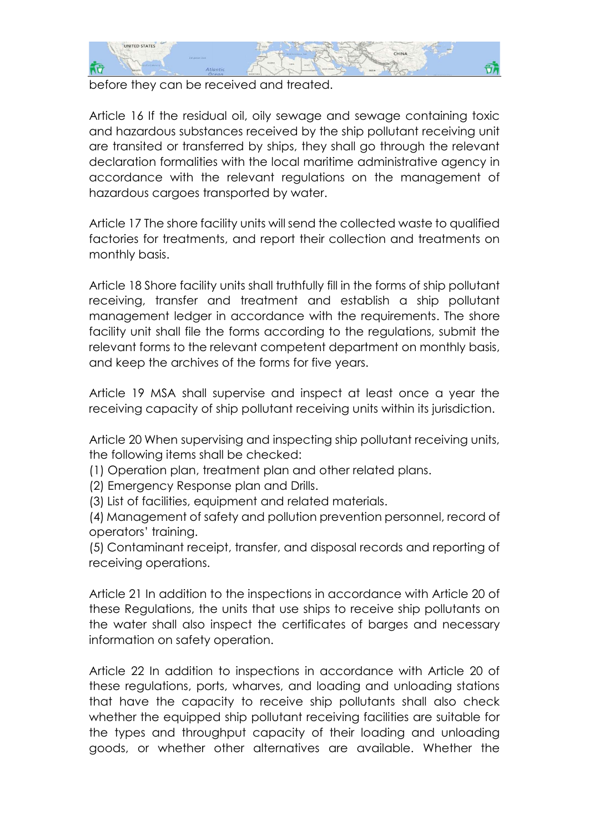

before they can be received and treated.

Article 16 If the residual oil, oily sewage and sewage containing toxic and hazardous substances received by the ship pollutant receiving unit are transited or transferred by ships, they shall go through the relevant declaration formalities with the local maritime administrative agency in accordance with the relevant regulations on the management of hazardous cargoes transported by water.

Article 17 The shore facility units will send the collected waste to qualified factories for treatments, and report their collection and treatments on monthly basis.

Article 18 Shore facility units shall truthfully fill in the forms of ship pollutant receiving, transfer and treatment and establish a ship pollutant management ledger in accordance with the requirements. The shore facility unit shall file the forms according to the regulations, submit the relevant forms to the relevant competent department on monthly basis, and keep the archives of the forms for five years.

Article 19 MSA shall supervise and inspect at least once a year the receiving capacity of ship pollutant receiving units within its jurisdiction.

Article 20 When supervising and inspecting ship pollutant receiving units, the following items shall be checked:

(1) Operation plan, treatment plan and other related plans.

(2) Emergency Response plan and Drills.

(3) List of facilities, equipment and related materials.

(4) Management of safety and pollution prevention personnel, record of operators' training.

(5) Contaminant receipt, transfer, and disposal records and reporting of receiving operations.

Article 21 In addition to the inspections in accordance with Article 20 of these Regulations, the units that use ships to receive ship pollutants on the water shall also inspect the certificates of barges and necessary information on safety operation.

Article 22 In addition to inspections in accordance with Article 20 of these regulations, ports, wharves, and loading and unloading stations that have the capacity to receive ship pollutants shall also check whether the equipped ship pollutant receiving facilities are suitable for the types and throughput capacity of their loading and unloading goods, or whether other alternatives are available. Whether the